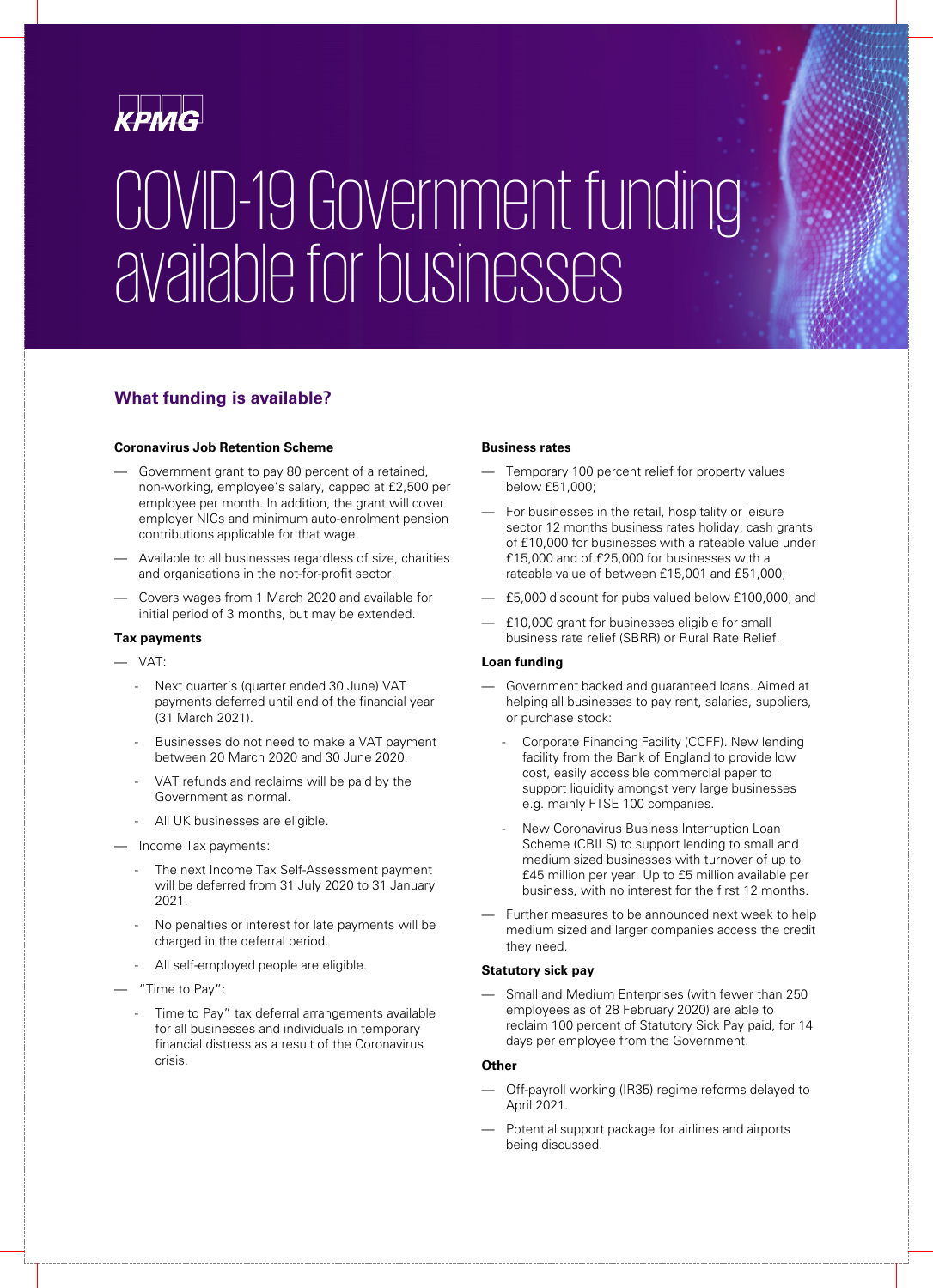

# COVID-19 Government funding available for businesses

# **What funding is available?**

#### **Coronavirus Job Retention Scheme**

- Government grant to pay 80 percent of a retained, non-working, employee's salary, capped at £2,500 per employee per month. In addition, the grant will cover employer NICs and minimum auto-enrolment pension contributions applicable for that wage.
- Available to all businesses regardless of size, charities and organisations in the not-for-profit sector.
- Covers wages from 1 March 2020 and available for initial period of 3 months, but may be extended.

#### **Tax payments**

- VAT:
	- Next quarter's (quarter ended 30 June) VAT payments deferred until end of the financial year (31 March 2021).
	- Businesses do not need to make a VAT payment between 20 March 2020 and 30 June 2020.
	- VAT refunds and reclaims will be paid by the Government as normal.
	- All UK businesses are eligible.
- Income Tax payments:
	- The next Income Tax Self-Assessment payment will be deferred from 31 July 2020 to 31 January 2021.
	- No penalties or interest for late payments will be charged in the deferral period.
	- All self-employed people are eligible.
- "Time to Pay":
	- Time to Pay" tax deferral arrangements available for all businesses and individuals in temporary financial distress as a result of the Coronavirus crisis.

#### **Business rates**

- Temporary 100 percent relief for property values below £51,000;
- For businesses in the retail, hospitality or leisure sector 12 months business rates holiday; cash grants of £10,000 for businesses with a rateable value under £15,000 and of £25,000 for businesses with a rateable value of between £15,001 and £51,000;
- £5,000 discount for pubs valued below £100,000; and
- £10,000 grant for businesses eligible for small business rate relief (SBRR) or Rural Rate Relief.

#### **Loan funding**

- Government backed and guaranteed loans. Aimed at helping all businesses to pay rent, salaries, suppliers, or purchase stock:
	- Corporate Financing Facility (CCFF). New lending facility from the Bank of England to provide low cost, easily accessible commercial paper to support liquidity amongst very large businesses e.g. mainly FTSE 100 companies.
	- New Coronavirus Business Interruption Loan Scheme (CBILS) to support lending to small and medium sized businesses with turnover of up to £45 million per year. Up to £5 million available per business, with no interest for the first 12 months.
- Further measures to be announced next week to help medium sized and larger companies access the credit they need.

#### **Statutory sick pay**

Small and Medium Enterprises (with fewer than 250 employees as of 28 February 2020) are able to reclaim 100 percent of Statutory Sick Pay paid, for 14 days per employee from the Government.

#### **Other**

- Off-payroll working (IR35) regime reforms delayed to April 2021.
- Potential support package for airlines and airports being discussed.